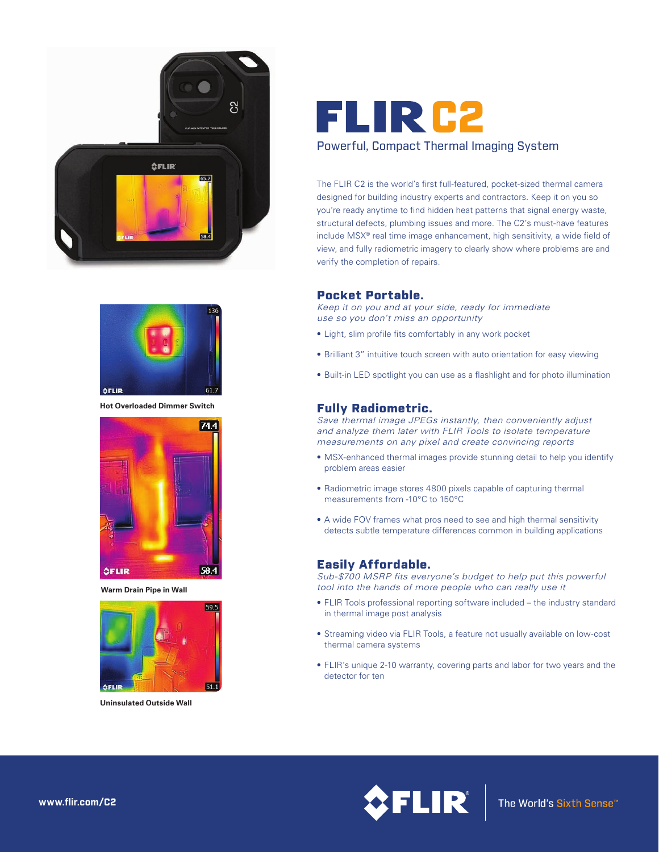



**Hot Overloaded Dimmer Switch**



**Warm Drain Pipe in Wall**



**Uninsulated Outside Wall**

# FLIR C2 Powerful, Compact Thermal Imaging System

The FLIR C2 is the world's first full-featured, pocket-sized thermal camera designed for building industry experts and contractors. Keep it on you so you're ready anytime to find hidden heat patterns that signal energy waste, structural defects, plumbing issues and more. The C2's must-have features include MSX® real time image enhancement, high sensitivity, a wide field of view, and fully radiometric imagery to clearly show where problems are and verify the completion of repairs.

## Pocket Portable.

*Keep it on you and at your side, ready for immediate use so you don't miss an opportunity*

- Light, slim profile fits comfortably in any work pocket
- Brilliant 3" intuitive touch screen with auto orientation for easy viewing
- Built-in LED spotlight you can use as a flashlight and for photo illumination

## Fully Radiometric.

*Save thermal image JPEGs instantly, then conveniently adjust and analyze them later with FLIR Tools to isolate temperature measurements on any pixel and create convincing reports*

- MSX-enhanced thermal images provide stunning detail to help you identify problem areas easier
- Radiometric image stores 4800 pixels capable of capturing thermal measurements from -10°C to 150°C
- A wide FOV frames what pros need to see and high thermal sensitivity detects subtle temperature differences common in building applications

### Easily Affordable.

*Sub-\$700 MSRP fits everyone's budget to help put this powerful tool into the hands of more people who can really use it*

- FLIR Tools professional reporting software included the industry standard in thermal image post analysis
- Streaming video via FLIR Tools, a feature not usually available on low-cost thermal camera systems
- FLIR's unique 2-10 warranty, covering parts and labor for two years and the detector for ten